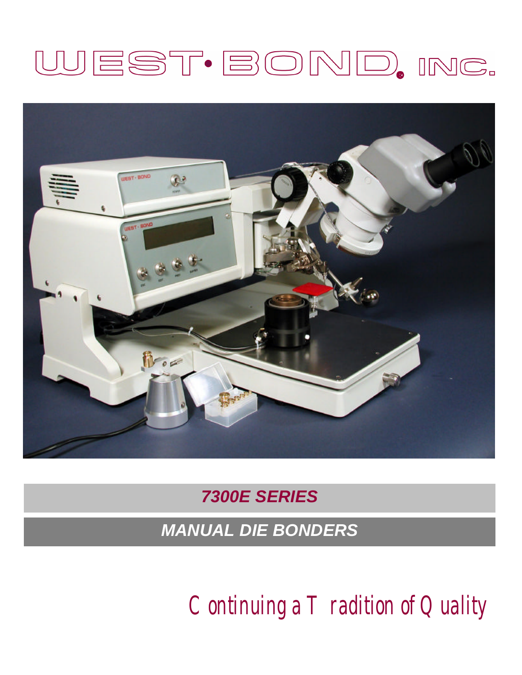# WEST·BOND, INC.



# *7300E SERIES*

*MANUAL DIE BONDERS*

*Continuing a Tradition of Quality*